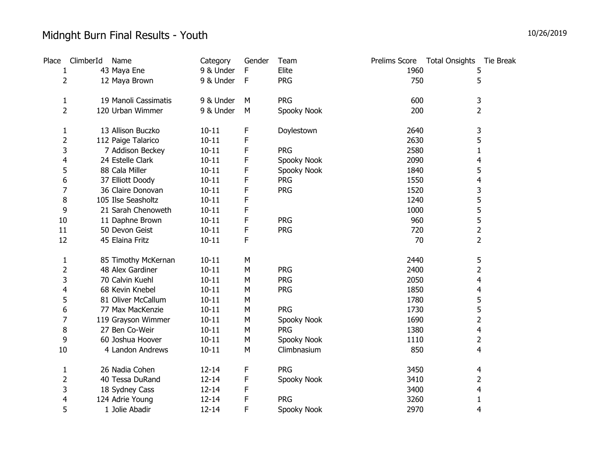## Midnght Burn Final Results - Youth

| Place          | ClimberId | Name                 | Category  | Gender | Team        | Prelims Score | <b>Total Onsights</b><br>Tie Break |
|----------------|-----------|----------------------|-----------|--------|-------------|---------------|------------------------------------|
| 1              |           | 43 Maya Ene          | 9 & Under | F      | Elite       | 1960          | 5                                  |
| $\overline{2}$ |           | 12 Maya Brown        | 9 & Under | F      | <b>PRG</b>  | 750           | 5                                  |
| $\mathbf{1}$   |           | 19 Manoli Cassimatis | 9 & Under | M      | <b>PRG</b>  | 600           | 3                                  |
| $\overline{2}$ |           | 120 Urban Wimmer     | 9 & Under | М      | Spooky Nook | 200           | 2                                  |
| 1              |           | 13 Allison Buczko    | $10 - 11$ | F      | Doylestown  | 2640          | 3                                  |
| $\overline{2}$ |           | 112 Paige Talarico   | $10 - 11$ | F      |             | 2630          | 5                                  |
| 3              |           | 7 Addison Beckey     | $10 - 11$ | F      | <b>PRG</b>  | 2580          | $\mathbf{1}$                       |
| 4              |           | 24 Estelle Clark     | $10 - 11$ | F      | Spooky Nook | 2090          | 4                                  |
| 5              |           | 88 Cala Miller       | $10 - 11$ | F      | Spooky Nook | 1840          | 5                                  |
| 6              |           | 37 Elliott Doody     | $10 - 11$ | F      | <b>PRG</b>  | 1550          | 4                                  |
| 7              |           | 36 Claire Donovan    | $10 - 11$ | F      | <b>PRG</b>  | 1520          | 3                                  |
| 8              |           | 105 Ilse Seasholtz   | $10 - 11$ | F      |             | 1240          | 5                                  |
| 9              |           | 21 Sarah Chenoweth   | $10 - 11$ | F      |             | 1000          | 5                                  |
| 10             |           | 11 Daphne Brown      | $10 - 11$ | F      | <b>PRG</b>  | 960           | 5                                  |
| 11             |           | 50 Devon Geist       | $10 - 11$ | F      | <b>PRG</b>  | 720           | $\overline{2}$                     |
| 12             |           | 45 Elaina Fritz      | $10 - 11$ | F      |             | 70            | 2                                  |
| 1              |           | 85 Timothy McKernan  | $10 - 11$ | M      |             | 2440          | 5                                  |
| $\overline{2}$ |           | 48 Alex Gardiner     | $10 - 11$ | M      | <b>PRG</b>  | 2400          | 2                                  |
| 3              |           | 70 Calvin Kuehl      | $10 - 11$ | M      | <b>PRG</b>  | 2050          | 4                                  |
| 4              |           | 68 Kevin Knebel      | $10 - 11$ | M      | <b>PRG</b>  | 1850          | 4                                  |
| 5              |           | 81 Oliver McCallum   | $10 - 11$ | M      |             | 1780          | 5                                  |
| 6              |           | 77 Max MacKenzie     | $10 - 11$ | M      | <b>PRG</b>  | 1730          | 5                                  |
| 7              |           | 119 Grayson Wimmer   | $10 - 11$ | M      | Spooky Nook | 1690          | $\overline{2}$                     |
| 8              |           | 27 Ben Co-Weir       | $10 - 11$ | M      | <b>PRG</b>  | 1380          | 4                                  |
| 9              |           | 60 Joshua Hoover     | $10 - 11$ | M      | Spooky Nook | 1110          | 2                                  |
| 10             |           | 4 Landon Andrews     | $10 - 11$ | M      | Climbnasium | 850           | 4                                  |
| $\mathbf{1}$   |           | 26 Nadia Cohen       | $12 - 14$ | F      | <b>PRG</b>  | 3450          | 4                                  |
| $\overline{2}$ |           | 40 Tessa DuRand      | $12 - 14$ | F      | Spooky Nook | 3410          | 2                                  |
| 3              |           | 18 Sydney Cass       | $12 - 14$ | F      |             | 3400          | 4                                  |
| 4              |           | 124 Adrie Young      | $12 - 14$ | F      | <b>PRG</b>  | 3260          | 1                                  |
| 5              |           | 1 Jolie Abadir       | $12 - 14$ | F      | Spooky Nook | 2970          | 4                                  |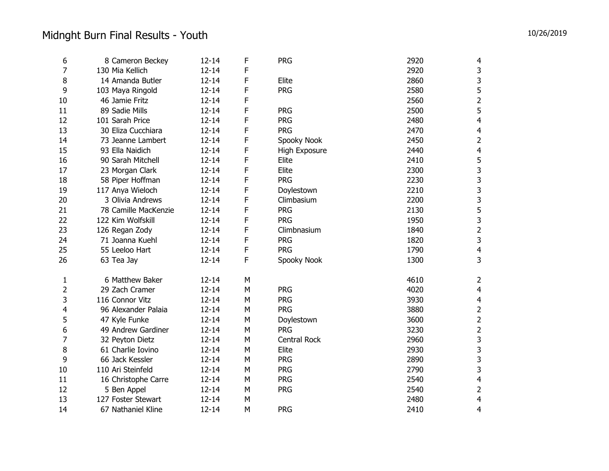| 6              | 8 Cameron Beckey     | $12 - 14$ | F | <b>PRG</b>          | 2920 | 4              |
|----------------|----------------------|-----------|---|---------------------|------|----------------|
| $\overline{7}$ | 130 Mia Kellich      | $12 - 14$ | F |                     | 2920 | 3              |
| 8              | 14 Amanda Butler     | $12 - 14$ | F | Elite               | 2860 | 3              |
| 9              | 103 Maya Ringold     | $12 - 14$ | F | <b>PRG</b>          | 2580 | 5              |
| 10             | 46 Jamie Fritz       | $12 - 14$ | F |                     | 2560 | $\overline{2}$ |
| 11             | 89 Sadie Mills       | $12 - 14$ | F | <b>PRG</b>          | 2500 | 5              |
| 12             | 101 Sarah Price      | $12 - 14$ | F | <b>PRG</b>          | 2480 | $\overline{4}$ |
| 13             | 30 Eliza Cucchiara   | $12 - 14$ | F | <b>PRG</b>          | 2470 | 4              |
| 14             | 73 Jeanne Lambert    | $12 - 14$ | F | Spooky Nook         | 2450 | $\mathbf 2$    |
| 15             | 93 Ella Naidich      | $12 - 14$ | F | High Exposure       | 2440 | $\overline{4}$ |
| 16             | 90 Sarah Mitchell    | $12 - 14$ | F | Elite               | 2410 | 5              |
| 17             | 23 Morgan Clark      | $12 - 14$ | F | Elite               | 2300 | 3              |
| 18             | 58 Piper Hoffman     | $12 - 14$ | F | <b>PRG</b>          | 2230 | 3              |
| 19             | 117 Anya Wieloch     | $12 - 14$ | F | Doylestown          | 2210 | 3              |
| 20             | 3 Olivia Andrews     | $12 - 14$ | F | Climbasium          | 2200 | 3              |
| 21             | 78 Camille MacKenzie | $12 - 14$ | F | <b>PRG</b>          | 2130 | 5              |
| 22             | 122 Kim Wolfskill    | $12 - 14$ | F | <b>PRG</b>          | 1950 | 3              |
| 23             | 126 Regan Zody       | $12 - 14$ | F | Climbnasium         | 1840 | $\overline{2}$ |
| 24             | 71 Joanna Kuehl      | $12 - 14$ | F | <b>PRG</b>          | 1820 | 3              |
| 25             | 55 Leeloo Hart       | $12 - 14$ | F | <b>PRG</b>          | 1790 | $\overline{4}$ |
| 26             | 63 Tea Jay           | $12 - 14$ | F | Spooky Nook         | 1300 | 3              |
| 1              | 6 Matthew Baker      | $12 - 14$ | M |                     | 4610 | 2              |
| $\overline{2}$ | 29 Zach Cramer       | $12 - 14$ | M | <b>PRG</b>          | 4020 | $\overline{4}$ |
| 3              | 116 Connor Vitz      | $12 - 14$ | M | <b>PRG</b>          | 3930 | 4              |
| 4              | 96 Alexander Palaia  | $12 - 14$ | M | <b>PRG</b>          | 3880 |                |
| 5              | 47 Kyle Funke        | $12 - 14$ | M | Doylestown          | 3600 | 2              |
| 6              | 49 Andrew Gardiner   | $12 - 14$ | M | <b>PRG</b>          | 3230 | $\overline{2}$ |
| $\overline{7}$ | 32 Peyton Dietz      | $12 - 14$ | M | <b>Central Rock</b> | 2960 | 3              |
| 8              | 61 Charlie Iovino    | $12 - 14$ | M | Elite               | 2930 | 3              |
| 9              | 66 Jack Kessler      | $12 - 14$ | M | <b>PRG</b>          | 2890 | 3              |
| 10             | 110 Ari Steinfeld    | $12 - 14$ | M | <b>PRG</b>          | 2790 | 3              |
| 11             | 16 Christophe Carre  | $12 - 14$ | M | <b>PRG</b>          | 2540 | 4              |
| 12             | 5 Ben Appel          | $12 - 14$ | M | <b>PRG</b>          | 2540 | $\overline{2}$ |
| 13             | 127 Foster Stewart   | $12 - 14$ | M |                     | 2480 | 4              |
| 14             | 67 Nathaniel Kline   | $12 - 14$ | M | <b>PRG</b>          | 2410 | 4              |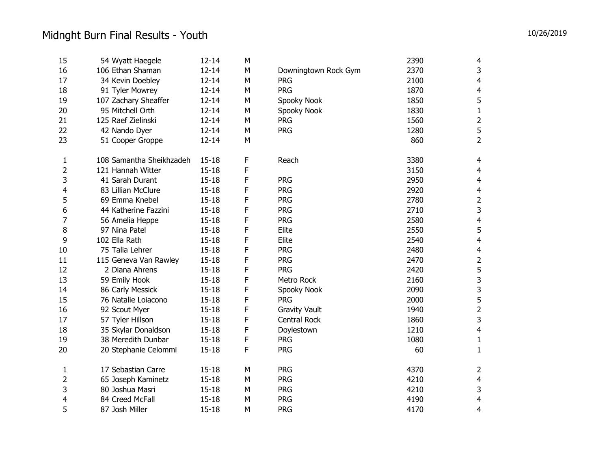| 15             | 54 Wyatt Haegele         | $12 - 14$ | M           |                      | 2390 | 4                       |
|----------------|--------------------------|-----------|-------------|----------------------|------|-------------------------|
| 16             | 106 Ethan Shaman         | $12 - 14$ | M           | Downingtown Rock Gym | 2370 | 3                       |
| 17             | 34 Kevin Doebley         | $12 - 14$ | M           | <b>PRG</b>           | 2100 | $\overline{4}$          |
| 18             | 91 Tyler Mowrey          | $12 - 14$ | M           | <b>PRG</b>           | 1870 | 4                       |
| 19             | 107 Zachary Sheaffer     | $12 - 14$ | M           | Spooky Nook          | 1850 | 5                       |
| 20             | 95 Mitchell Orth         | $12 - 14$ | M           | Spooky Nook          | 1830 | $\mathbf 1$             |
| 21             | 125 Raef Zielinski       | $12 - 14$ | M           | <b>PRG</b>           | 1560 | $\overline{\mathbf{c}}$ |
| 22             | 42 Nando Dyer            | $12 - 14$ | M           | <b>PRG</b>           | 1280 | 5                       |
| 23             | 51 Cooper Groppe         | $12 - 14$ | M           |                      | 860  | $\overline{2}$          |
| 1              | 108 Samantha Sheikhzadeh | $15 - 18$ | F           | Reach                | 3380 | $\overline{\mathbf{4}}$ |
| 2              | 121 Hannah Witter        | $15 - 18$ | F           |                      | 3150 | $\overline{4}$          |
| 3              | 41 Sarah Durant          | $15 - 18$ | F           | <b>PRG</b>           | 2950 | $\overline{4}$          |
| 4              | 83 Lillian McClure       | $15 - 18$ | F           | <b>PRG</b>           | 2920 | 4                       |
| 5              | 69 Emma Knebel           | $15 - 18$ | F           | <b>PRG</b>           | 2780 |                         |
| 6              | 44 Katherine Fazzini     | $15 - 18$ | F           | <b>PRG</b>           | 2710 | 3                       |
| 7              | 56 Amelia Heppe          | $15 - 18$ | F           | <b>PRG</b>           | 2580 | $\overline{4}$          |
| 8              | 97 Nina Patel            | $15 - 18$ | F           | Elite                | 2550 | 5                       |
| 9              | 102 Ella Rath            | $15 - 18$ | F           | Elite                | 2540 | $\overline{4}$          |
| 10             | 75 Talia Lehrer          | $15 - 18$ | F           | <b>PRG</b>           | 2480 | 4                       |
| 11             | 115 Geneva Van Rawley    | $15 - 18$ | F           | <b>PRG</b>           | 2470 | $\overline{c}$          |
| 12             | 2 Diana Ahrens           | $15 - 18$ | $\mathsf F$ | <b>PRG</b>           | 2420 | 5                       |
| 13             | 59 Emily Hook            | $15 - 18$ | F           | Metro Rock           | 2160 | 3                       |
| 14             | 86 Carly Messick         | $15 - 18$ | F           | Spooky Nook          | 2090 | 3                       |
| 15             | 76 Natalie Loiacono      | $15 - 18$ | F           | <b>PRG</b>           | 2000 | 5                       |
| 16             | 92 Scout Myer            | $15 - 18$ | F           | <b>Gravity Vault</b> | 1940 | $\overline{c}$          |
| 17             | 57 Tyler Hillson         | $15 - 18$ | F           | Central Rock         | 1860 | 3                       |
| 18             | 35 Skylar Donaldson      | $15 - 18$ | F           | Doylestown           | 1210 | $\overline{\mathbf{4}}$ |
| 19             | 38 Meredith Dunbar       | $15 - 18$ | F           | <b>PRG</b>           | 1080 | $\mathbf{1}$            |
| 20             | 20 Stephanie Celommi     | $15 - 18$ | F           | <b>PRG</b>           | 60   | $\mathbf{1}$            |
| $\mathbf{1}$   | 17 Sebastian Carre       | $15 - 18$ | M           | <b>PRG</b>           | 4370 | 2                       |
| $\overline{2}$ | 65 Joseph Kaminetz       | $15 - 18$ | M           | <b>PRG</b>           | 4210 | $\overline{4}$          |
| 3              | 80 Joshua Masri          | $15 - 18$ | M           | <b>PRG</b>           | 4210 | 3                       |
| 4              | 84 Creed McFall          | $15 - 18$ | M           | <b>PRG</b>           | 4190 | $\overline{4}$          |
| 5              | 87 Josh Miller           | $15 - 18$ | M           | <b>PRG</b>           | 4170 | 4                       |
|                |                          |           |             |                      |      |                         |